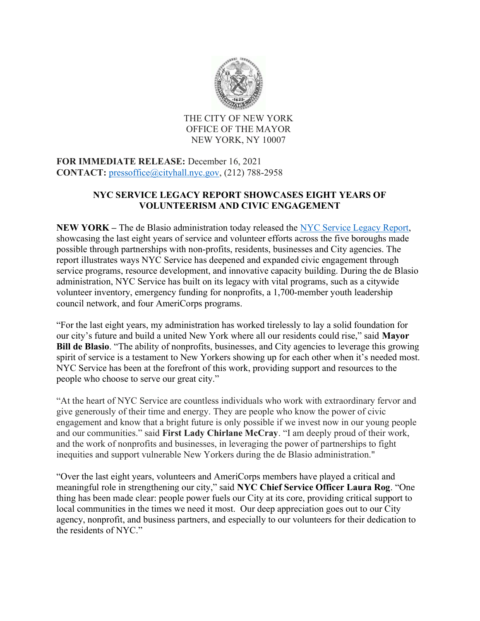

THE CITY OF NEW YORK OFFICE OF THE MAYOR NEW YORK, NY 10007

FOR IMMEDIATE RELEASE: December 16, 2021 CONTACT: pressoffice@cityhall.nyc.gov, (212) 788-2958

## NYC SERVICE LEGACY REPORT SHOWCASES EIGHT YEARS OF VOLUNTEERISM AND CIVIC ENGAGEMENT

NEW YORK – The de Blasio administration today released the NYC Service Legacy Report, showcasing the last eight years of service and volunteer efforts across the five boroughs made possible through partnerships with non-profits, residents, businesses and City agencies. The report illustrates ways NYC Service has deepened and expanded civic engagement through service programs, resource development, and innovative capacity building. During the de Blasio administration, NYC Service has built on its legacy with vital programs, such as a citywide volunteer inventory, emergency funding for nonprofits, a 1,700-member youth leadership council network, and four AmeriCorps programs.

"For the last eight years, my administration has worked tirelessly to lay a solid foundation for our city's future and build a united New York where all our residents could rise," said Mayor Bill de Blasio. "The ability of nonprofits, businesses, and City agencies to leverage this growing spirit of service is a testament to New Yorkers showing up for each other when it's needed most. NYC Service has been at the forefront of this work, providing support and resources to the people who choose to serve our great city."

"At the heart of NYC Service are countless individuals who work with extraordinary fervor and give generously of their time and energy. They are people who know the power of civic engagement and know that a bright future is only possible if we invest now in our young people and our communities." said First Lady Chirlane McCray. "I am deeply proud of their work, and the work of nonprofits and businesses, in leveraging the power of partnerships to fight inequities and support vulnerable New Yorkers during the de Blasio administration."

"Over the last eight years, volunteers and AmeriCorps members have played a critical and meaningful role in strengthening our city," said NYC Chief Service Officer Laura Rog. "One thing has been made clear: people power fuels our City at its core, providing critical support to local communities in the times we need it most. Our deep appreciation goes out to our City agency, nonprofit, and business partners, and especially to our volunteers for their dedication to the residents of NYC."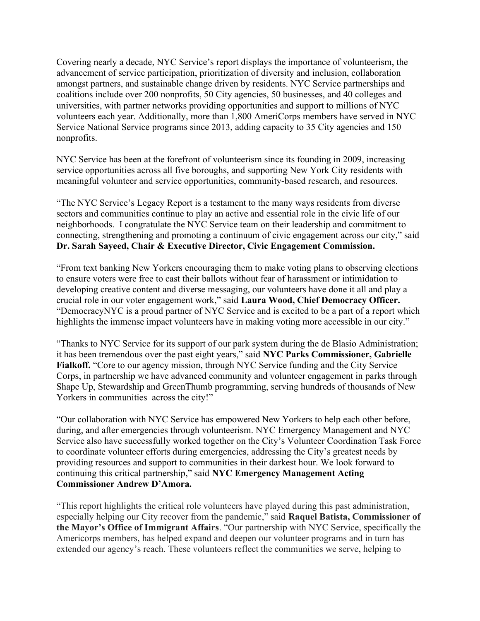Covering nearly a decade, NYC Service's report displays the importance of volunteerism, the advancement of service participation, prioritization of diversity and inclusion, collaboration amongst partners, and sustainable change driven by residents. NYC Service partnerships and coalitions include over 200 nonprofits, 50 City agencies, 50 businesses, and 40 colleges and universities, with partner networks providing opportunities and support to millions of NYC volunteers each year. Additionally, more than 1,800 AmeriCorps members have served in NYC Service National Service programs since 2013, adding capacity to 35 City agencies and 150 nonprofits.

NYC Service has been at the forefront of volunteerism since its founding in 2009, increasing service opportunities across all five boroughs, and supporting New York City residents with meaningful volunteer and service opportunities, community-based research, and resources.

"The NYC Service's Legacy Report is a testament to the many ways residents from diverse sectors and communities continue to play an active and essential role in the civic life of our neighborhoods. I congratulate the NYC Service team on their leadership and commitment to connecting, strengthening and promoting a continuum of civic engagement across our city," said Dr. Sarah Sayeed, Chair & Executive Director, Civic Engagement Commission.

"From text banking New Yorkers encouraging them to make voting plans to observing elections to ensure voters were free to cast their ballots without fear of harassment or intimidation to developing creative content and diverse messaging, our volunteers have done it all and play a crucial role in our voter engagement work," said Laura Wood, Chief Democracy Officer. "DemocracyNYC is a proud partner of NYC Service and is excited to be a part of a report which highlights the immense impact volunteers have in making voting more accessible in our city."

"Thanks to NYC Service for its support of our park system during the de Blasio Administration; it has been tremendous over the past eight years," said NYC Parks Commissioner, Gabrielle Fialkoff. "Core to our agency mission, through NYC Service funding and the City Service Corps, in partnership we have advanced community and volunteer engagement in parks through Shape Up, Stewardship and GreenThumb programming, serving hundreds of thousands of New Yorkers in communities across the city!"

"Our collaboration with NYC Service has empowered New Yorkers to help each other before, during, and after emergencies through volunteerism. NYC Emergency Management and NYC Service also have successfully worked together on the City's Volunteer Coordination Task Force to coordinate volunteer efforts during emergencies, addressing the City's greatest needs by providing resources and support to communities in their darkest hour. We look forward to continuing this critical partnership," said NYC Emergency Management Acting Commissioner Andrew D'Amora.

"This report highlights the critical role volunteers have played during this past administration, especially helping our City recover from the pandemic," said Raquel Batista, Commissioner of the Mayor's Office of Immigrant Affairs. "Our partnership with NYC Service, specifically the Americorps members, has helped expand and deepen our volunteer programs and in turn has extended our agency's reach. These volunteers reflect the communities we serve, helping to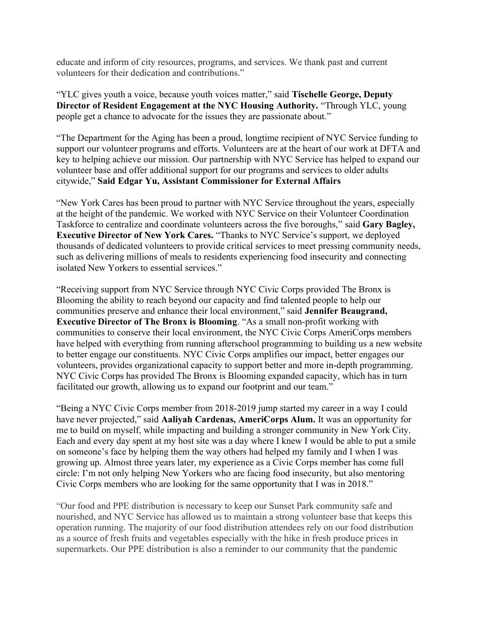educate and inform of city resources, programs, and services. We thank past and current volunteers for their dedication and contributions."

"YLC gives youth a voice, because youth voices matter," said Tischelle George, Deputy Director of Resident Engagement at the NYC Housing Authority. "Through YLC, young people get a chance to advocate for the issues they are passionate about."

"The Department for the Aging has been a proud, longtime recipient of NYC Service funding to support our volunteer programs and efforts. Volunteers are at the heart of our work at DFTA and key to helping achieve our mission. Our partnership with NYC Service has helped to expand our volunteer base and offer additional support for our programs and services to older adults citywide," Said Edgar Yu, Assistant Commissioner for External Affairs

"New York Cares has been proud to partner with NYC Service throughout the years, especially at the height of the pandemic. We worked with NYC Service on their Volunteer Coordination Taskforce to centralize and coordinate volunteers across the five boroughs," said Gary Bagley, Executive Director of New York Cares. "Thanks to NYC Service's support, we deployed thousands of dedicated volunteers to provide critical services to meet pressing community needs, such as delivering millions of meals to residents experiencing food insecurity and connecting isolated New Yorkers to essential services."

"Receiving support from NYC Service through NYC Civic Corps provided The Bronx is Blooming the ability to reach beyond our capacity and find talented people to help our communities preserve and enhance their local environment," said Jennifer Beaugrand, Executive Director of The Bronx is Blooming. "As a small non-profit working with communities to conserve their local environment, the NYC Civic Corps AmeriCorps members have helped with everything from running afterschool programming to building us a new website to better engage our constituents. NYC Civic Corps amplifies our impact, better engages our volunteers, provides organizational capacity to support better and more in-depth programming. NYC Civic Corps has provided The Bronx is Blooming expanded capacity, which has in turn facilitated our growth, allowing us to expand our footprint and our team."

"Being a NYC Civic Corps member from 2018-2019 jump started my career in a way I could have never projected," said Aaliyah Cardenas, AmeriCorps Alum. It was an opportunity for me to build on myself, while impacting and building a stronger community in New York City. Each and every day spent at my host site was a day where I knew I would be able to put a smile on someone's face by helping them the way others had helped my family and I when I was growing up. Almost three years later, my experience as a Civic Corps member has come full circle: I'm not only helping New Yorkers who are facing food insecurity, but also mentoring Civic Corps members who are looking for the same opportunity that I was in 2018."

"Our food and PPE distribution is necessary to keep our Sunset Park community safe and nourished, and NYC Service has allowed us to maintain a strong volunteer base that keeps this operation running. The majority of our food distribution attendees rely on our food distribution as a source of fresh fruits and vegetables especially with the hike in fresh produce prices in supermarkets. Our PPE distribution is also a reminder to our community that the pandemic